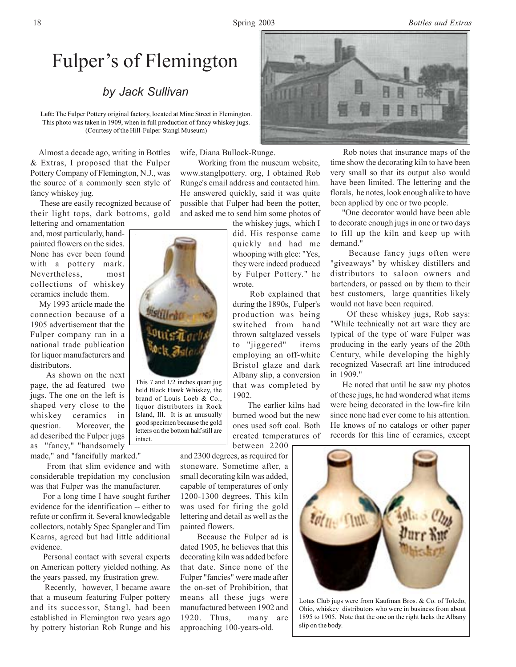## Fulper's of Flemington

## *by Jack Sullivan*

**Left:** The Fulper Pottery original factory, located at Mine Street in Flemington. This photo was taken in 1909, when in full production of fancy whiskey jugs. (Courtesy of the Hill-Fulper-Stangl Museum)

 Almost a decade ago, writing in Bottles & Extras, I proposed that the Fulper Pottery Company of Flemington, N.J., was the source of a commonly seen style of fancy whiskey jug.

 These are easily recognized because of their light tops, dark bottoms, gold lettering and ornamentation

and, most particularly, handpainted flowers on the sides. None has ever been found with a pottery mark. Nevertheless, most collections of whiskey ceramics include them.

 My 1993 article made the connection because of a 1905 advertisement that the Fulper company ran in a national trade publication for liquor manufacturers and distributors.

 As shown on the next page, the ad featured two jugs. The one on the left is shaped very close to the whiskey ceramics in question. Moreover, the ad described the Fulper jugs as "fancy," "handsomely

made," and "fancifully marked."

 From that slim evidence and with considerable trepidation my conclusion was that Fulper was the manufacturer.

 For a long time I have sought further evidence for the identification -- either to refute or confirm it. Several knowledgable collectors, notably Spec Spangler and Tim Kearns, agreed but had little additional evidence.

 Personal contact with several experts on American pottery yielded nothing. As the years passed, my frustration grew.

 Recently, however, I became aware that a museum featuring Fulper pottery and its successor, Stangl, had been established in Flemington two years ago by pottery historian Rob Runge and his

wife, Diana Bullock-Runge.

 Working from the museum website, www.stanglpottery. org, I obtained Rob Runge's email address and contacted him. He answered quickly, said it was quite possible that Fulper had been the potter, and asked me to send him some photos of

the whiskey jugs, which I did. His response came quickly and had me whooping with glee: "Yes, they were indeed produced by Fulper Pottery." he wrote.

 Rob explained that during the 1890s, Fulper's production was being switched from hand thrown saltglazed vessels to "jiggered" items employing an off-white Bristol glaze and dark Albany slip, a conversion that was completed by 1902.

 The earlier kilns had burned wood but the new ones used soft coal. Both created temperatures of between 2200

and 2300 degrees, as required for stoneware. Sometime after, a small decorating kiln was added, capable of temperatures of only 1200-1300 degrees. This kiln was used for firing the gold lettering and detail as well as the painted flowers.

 Because the Fulper ad is dated 1905, he believes that this decorating kiln was added before that date. Since none of the Fulper "fancies" were made after the on-set of Prohibition, that means all these jugs were manufactured between 1902 and 1920. Thus, many are approaching 100-years-old.



 Rob notes that insurance maps of the time show the decorating kiln to have been very small so that its output also would have been limited. The lettering and the florals, he notes, look enough alike to have been applied by one or two people.

 "One decorator would have been able to decorate enough jugs in one or two days to fill up the kiln and keep up with demand."

 Because fancy jugs often were "giveaways" by whiskey distillers and distributors to saloon owners and bartenders, or passed on by them to their best customers, large quantities likely would not have been required.

 Of these whiskey jugs, Rob says: "While technically not art ware they are typical of the type of ware Fulper was producing in the early years of the 20th Century, while developing the highly recognized Vasecraft art line introduced in 1909."

 He noted that until he saw my photos of these jugs, he had wondered what items were being decorated in the low-fire kiln since none had ever come to his attention. He knows of no catalogs or other paper records for this line of ceramics, except



Lotus Club jugs were from Kaufman Bros. & Co. of Toledo, Ohio, whiskey distributors who were in business from about 1895 to 1905. Note that the one on the right lacks the Albany slip on the body.



held Black Hawk Whiskey, the brand of Louis Loeb & Co., liquor distributors in Rock Island, Ill. It is an unusually good specimen because the gold letters on the bottom half still are

intact.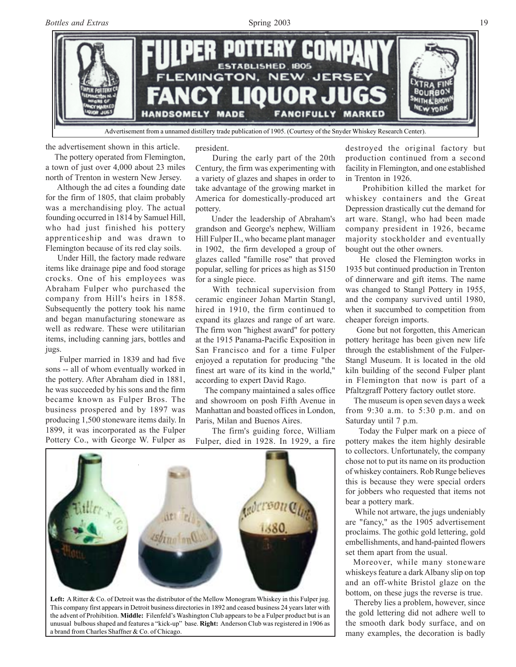

the advertisement shown in this article.

 The pottery operated from Flemington, a town of just over 4,000 about 23 miles north of Trenton in western New Jersey.

 Although the ad cites a founding date for the firm of 1805, that claim probably was a merchandising ploy. The actual founding occurred in 1814 by Samuel Hill, who had just finished his pottery apprenticeship and was drawn to Flemington because of its red clay soils.

 Under Hill, the factory made redware items like drainage pipe and food storage crocks. One of his employees was Abraham Fulper who purchased the company from Hill's heirs in 1858. Subsequently the pottery took his name and began manufacturing stoneware as well as redware. These were utilitarian items, including canning jars, bottles and jugs.

 Fulper married in 1839 and had five sons -- all of whom eventually worked in the pottery. After Abraham died in 1881, he was succeeded by his sons and the firm became known as Fulper Bros. The business prospered and by 1897 was producing 1,500 stoneware items daily. In 1899, it was incorporated as the Fulper Pottery Co., with George W. Fulper as

president.

 During the early part of the 20th Century, the firm was experimenting with a variety of glazes and shapes in order to take advantage of the growing market in America for domestically-produced art pottery.

 Under the leadership of Abraham's grandson and George's nephew, William Hill Fulper II., who became plant manager in 1902, the firm developed a group of glazes called "famille rose" that proved popular, selling for prices as high as \$150 for a single piece.

 With technical supervision from ceramic engineer Johan Martin Stangl, hired in 1910, the firm continued to expand its glazes and range of art ware. The firm won "highest award" for pottery at the 1915 Panama-Pacific Exposition in San Francisco and for a time Fulper enjoyed a reputation for producing "the finest art ware of its kind in the world," according to expert David Rago.

 The company maintained a sales office and showroom on posh Fifth Avenue in Manhattan and boasted offices in London, Paris, Milan and Buenos Aires.

 The firm's guiding force, William Fulper, died in 1928. In 1929, a fire



**Left:** A Ritter & Co. of Detroit was the distributor of the Mellow Monogram Whiskey in this Fulper jug. This company first appears in Detroit business directories in 1892 and ceased business 24 years later with the advent of Prohibition. **Middle:** Filenfeld's Washington Club appears to be a Fulper product but is an unusual bulbous shaped and features a "kick-up" base. **Right:** Anderson Club was registered in 1906 as a brand from Charles Shaffner & Co. of Chicago.

destroyed the original factory but production continued from a second facility in Flemington, and one established in Trenton in 1926.

 Prohibition killed the market for whiskey containers and the Great Depression drastically cut the demand for art ware. Stangl, who had been made company president in 1926, became majority stockholder and eventually bought out the other owners.

 He closed the Flemington works in 1935 but continued production in Trenton of dinnerware and gift items. The name was changed to Stangl Pottery in 1955, and the company survived until 1980, when it succumbed to competition from cheaper foreign imports.

 Gone but not forgotten, this American pottery heritage has been given new life through the establishment of the Fulper-Stangl Museum. It is located in the old kiln building of the second Fulper plant in Flemington that now is part of a Pfaltzgraff Pottery factory outlet store.

 The museum is open seven days a week from 9:30 a.m. to 5:30 p.m. and on Saturday until 7 p.m.

 Today the Fulper mark on a piece of pottery makes the item highly desirable to collectors. Unfortunately, the company chose not to put its name on its production of whiskey containers. Rob Runge believes this is because they were special orders for jobbers who requested that items not bear a pottery mark.

 While not artware, the jugs undeniably are "fancy," as the 1905 advertisement proclaims. The gothic gold lettering, gold embellishments, and hand-painted flowers set them apart from the usual.

 Moreover, while many stoneware whiskeys feature a dark Albany slip on top and an off-white Bristol glaze on the bottom, on these jugs the reverse is true.

 Thereby lies a problem, however, since the gold lettering did not adhere well to the smooth dark body surface, and on many examples, the decoration is badly